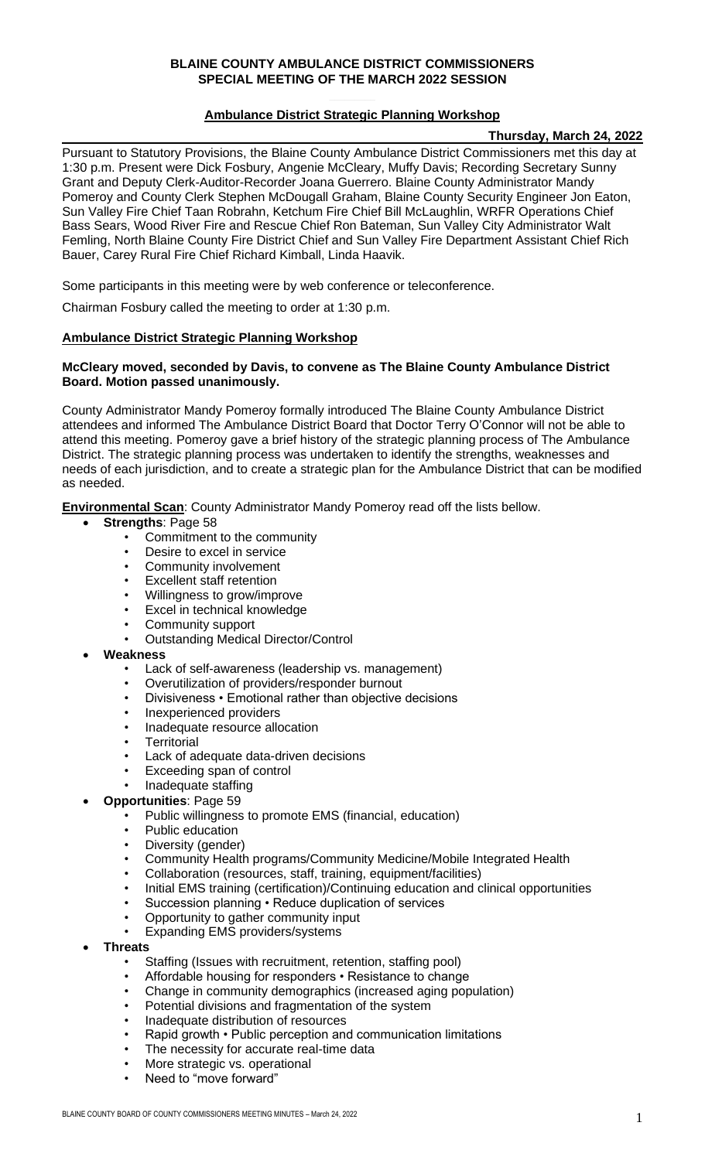### **BLAINE COUNTY AMBULANCE DISTRICT COMMISSIONERS SPECIAL MEETING OF THE MARCH 2022 SESSION**

### **Ambulance District Strategic Planning Workshop**

#### **Thursday, March 24, 2022**

Pursuant to Statutory Provisions, the Blaine County Ambulance District Commissioners met this day at 1:30 p.m. Present were Dick Fosbury, Angenie McCleary, Muffy Davis; Recording Secretary Sunny Grant and Deputy Clerk-Auditor-Recorder Joana Guerrero. Blaine County Administrator Mandy Pomeroy and County Clerk Stephen McDougall Graham, Blaine County Security Engineer Jon Eaton, Sun Valley Fire Chief Taan Robrahn, Ketchum Fire Chief Bill McLaughlin, WRFR Operations Chief Bass Sears, Wood River Fire and Rescue Chief Ron Bateman, Sun Valley City Administrator Walt Femling, North Blaine County Fire District Chief and Sun Valley Fire Department Assistant Chief Rich Bauer, Carey Rural Fire Chief Richard Kimball, Linda Haavik.

Some participants in this meeting were by web conference or teleconference.

Chairman Fosbury called the meeting to order at 1:30 p.m.

#### **Ambulance District Strategic Planning Workshop**

#### **McCleary moved, seconded by Davis, to convene as The Blaine County Ambulance District Board. Motion passed unanimously.**

County Administrator Mandy Pomeroy formally introduced The Blaine County Ambulance District attendees and informed The Ambulance District Board that Doctor Terry O'Connor will not be able to attend this meeting. Pomeroy gave a brief history of the strategic planning process of The Ambulance District. The strategic planning process was undertaken to identify the strengths, weaknesses and needs of each jurisdiction, and to create a strategic plan for the Ambulance District that can be modified as needed.

**Environmental Scan**: County Administrator Mandy Pomeroy read off the lists bellow.

- **Strengths**: Page 58
	- Commitment to the community
	- Desire to excel in service
	- Community involvement
	- **Excellent staff retention**
	- Willingness to grow/improve
	- Excel in technical knowledge
	- Community support
	- Outstanding Medical Director/Control
- **Weakness**
	- Lack of self-awareness (leadership vs. management)
	- Overutilization of providers/responder burnout
	- Divisiveness Emotional rather than objective decisions
	- Inexperienced providers
	- Inadequate resource allocation
	- **Territorial**
	- Lack of adequate data-driven decisions
	- Exceeding span of control
	- Inadequate staffing
- **Opportunities**: Page 59
	- Public willingness to promote EMS (financial, education)
		- Public education
		- Diversity (gender)
		- Community Health programs/Community Medicine/Mobile Integrated Health
		- Collaboration (resources, staff, training, equipment/facilities)
		- Initial EMS training (certification)/Continuing education and clinical opportunities
		- Succession planning Reduce duplication of services
		- Opportunity to gather community input
		- Expanding EMS providers/systems
- **Threats** 
	- Staffing (Issues with recruitment, retention, staffing pool)
	- Affordable housing for responders Resistance to change
	- Change in community demographics (increased aging population)
	- Potential divisions and fragmentation of the system
	- Inadequate distribution of resources
	- Rapid growth Public perception and communication limitations
	- The necessity for accurate real-time data
	- More strategic vs. operational
	- Need to "move forward"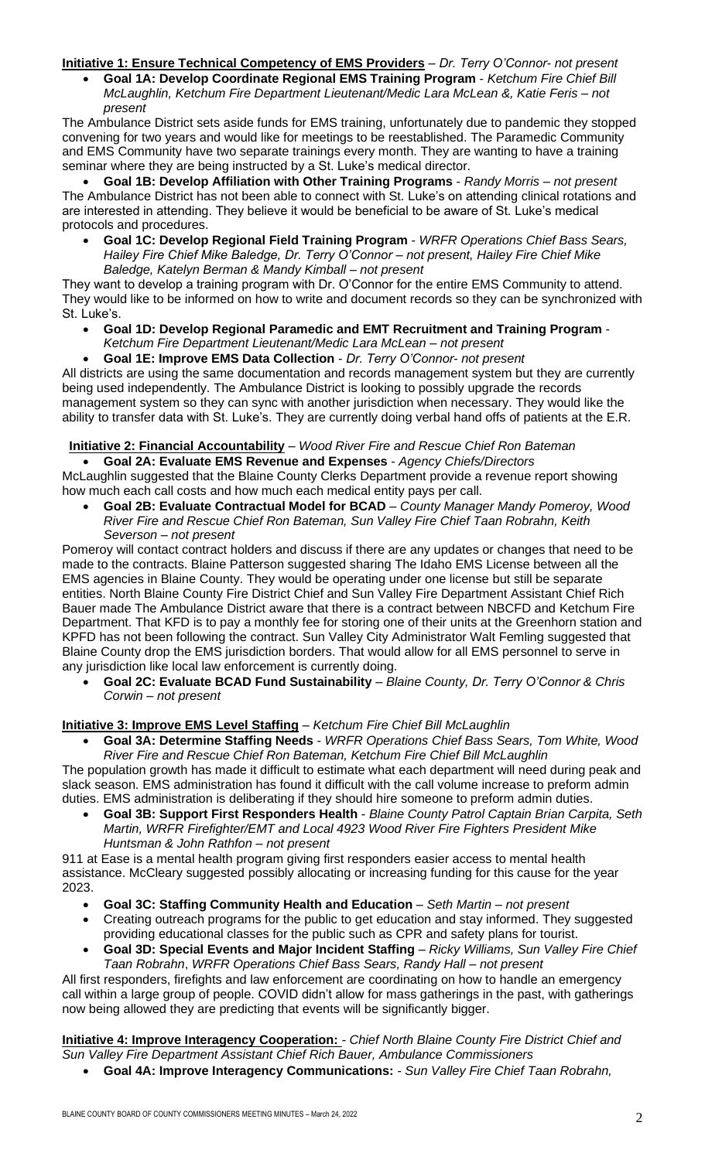# **Initiative 1: Ensure Technical Competency of EMS Providers** – *Dr. Terry O'Connor- not present*

• **Goal 1A: Develop Coordinate Regional EMS Training Program** - *Ketchum Fire Chief Bill McLaughlin, Ketchum Fire Department Lieutenant/Medic Lara McLean &, Katie Feris – not present*

The Ambulance District sets aside funds for EMS training, unfortunately due to pandemic they stopped convening for two years and would like for meetings to be reestablished. The Paramedic Community and EMS Community have two separate trainings every month. They are wanting to have a training seminar where they are being instructed by a St. Luke's medical director.

• **Goal 1B: Develop Affiliation with Other Training Programs** - *Randy Morris – not present* The Ambulance District has not been able to connect with St. Luke's on attending clinical rotations and are interested in attending. They believe it would be beneficial to be aware of St. Luke's medical protocols and procedures.

• **Goal 1C: Develop Regional Field Training Program** - *WRFR Operations Chief Bass Sears, Hailey Fire Chief Mike Baledge, Dr. Terry O'Connor – not present, Hailey Fire Chief Mike Baledge, Katelyn Berman & Mandy Kimball – not present*

They want to develop a training program with Dr. O'Connor for the entire EMS Community to attend. They would like to be informed on how to write and document records so they can be synchronized with St. Luke's.

- **Goal 1D: Develop Regional Paramedic and EMT Recruitment and Training Program** -
- *Ketchum Fire Department Lieutenant/Medic Lara McLean – not present*

• **Goal 1E: Improve EMS Data Collection** - *Dr. Terry O'Connor- not present*

All districts are using the same documentation and records management system but they are currently being used independently. The Ambulance District is looking to possibly upgrade the records management system so they can sync with another jurisdiction when necessary. They would like the ability to transfer data with St. Luke's. They are currently doing verbal hand offs of patients at the E.R.

# **Initiative 2: Financial Accountability** – *Wood River Fire and Rescue Chief Ron Bateman*

• **Goal 2A: Evaluate EMS Revenue and Expenses** - *Agency Chiefs/Directors* McLaughlin suggested that the Blaine County Clerks Department provide a revenue report showing how much each call costs and how much each medical entity pays per call.

• **Goal 2B: Evaluate Contractual Model for BCAD** – *County Manager Mandy Pomeroy, Wood River Fire and Rescue Chief Ron Bateman, Sun Valley Fire Chief Taan Robrahn, Keith Severson – not present*

Pomeroy will contact contract holders and discuss if there are any updates or changes that need to be made to the contracts. Blaine Patterson suggested sharing The Idaho EMS License between all the EMS agencies in Blaine County. They would be operating under one license but still be separate entities. North Blaine County Fire District Chief and Sun Valley Fire Department Assistant Chief Rich Bauer made The Ambulance District aware that there is a contract between NBCFD and Ketchum Fire Department. That KFD is to pay a monthly fee for storing one of their units at the Greenhorn station and KPFD has not been following the contract. Sun Valley City Administrator Walt Femling suggested that Blaine County drop the EMS jurisdiction borders. That would allow for all EMS personnel to serve in any jurisdiction like local law enforcement is currently doing.

• **Goal 2C: Evaluate BCAD Fund Sustainability** – *Blaine County, Dr. Terry O'Connor & Chris Corwin – not present*

### **Initiative 3: Improve EMS Level Staffing** – *Ketchum Fire Chief Bill McLaughlin*

• **Goal 3A: Determine Staffing Needs** - *WRFR Operations Chief Bass Sears, Tom White, Wood River Fire and Rescue Chief Ron Bateman, Ketchum Fire Chief Bill McLaughlin* 

The population growth has made it difficult to estimate what each department will need during peak and slack season. EMS administration has found it difficult with the call volume increase to preform admin duties. EMS administration is deliberating if they should hire someone to preform admin duties.

• **Goal 3B: Support First Responders Health** - *Blaine County Patrol Captain Brian Carpita, Seth Martin, WRFR Firefighter/EMT and Local 4923 Wood River Fire Fighters President Mike Huntsman & John Rathfon – not present*

911 at Ease is a mental health program giving first responders easier access to mental health assistance. McCleary suggested possibly allocating or increasing funding for this cause for the year 2023.

- **Goal 3C: Staffing Community Health and Education** *Seth Martin – not present*
- Creating outreach programs for the public to get education and stay informed. They suggested providing educational classes for the public such as CPR and safety plans for tourist.
- **Goal 3D: Special Events and Major Incident Staffing** *Ricky Williams, Sun Valley Fire Chief Taan Robrahn*, *WRFR Operations Chief Bass Sears, Randy Hall – not present*

All first responders, firefights and law enforcement are coordinating on how to handle an emergency call within a large group of people. COVID didn't allow for mass gatherings in the past, with gatherings now being allowed they are predicting that events will be significantly bigger.

**Initiative 4: Improve Interagency Cooperation:** *- Chief North Blaine County Fire District Chief and Sun Valley Fire Department Assistant Chief Rich Bauer, Ambulance Commissioners* 

• **Goal 4A: Improve Interagency Communications:** *- Sun Valley Fire Chief Taan Robrahn,*